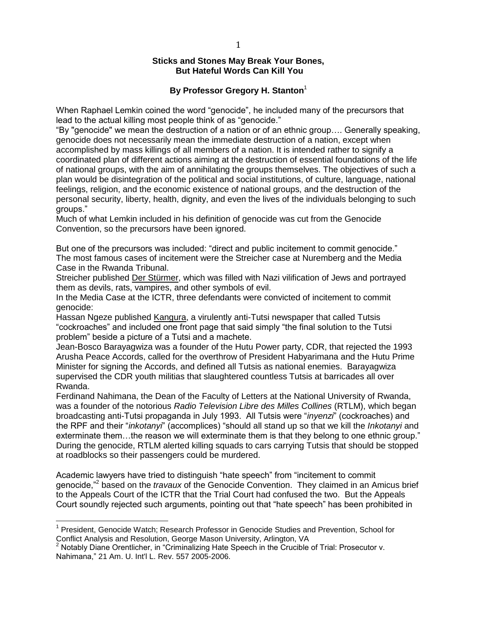### **Sticks and Stones May Break Your Bones, But Hateful Words Can Kill You**

# **By Professor Gregory H. Stanton**<sup>1</sup>

When Raphael Lemkin coined the word "genocide", he included many of the precursors that lead to the actual killing most people think of as "genocide."

"By "genocide" we mean the destruction of a nation or of an ethnic group…. Generally speaking, genocide does not necessarily mean the immediate destruction of a nation, except when accomplished by mass killings of all members of a nation. It is intended rather to signify a coordinated plan of different actions aiming at the destruction of essential foundations of the life of national groups, with the aim of annihilating the groups themselves. The objectives of such a plan would be disintegration of the political and social institutions, of culture, language, national feelings, religion, and the economic existence of national groups, and the destruction of the personal security, liberty, health, dignity, and even the lives of the individuals belonging to such groups."

Much of what Lemkin included in his definition of genocide was cut from the Genocide Convention, so the precursors have been ignored.

But one of the precursors was included: "direct and public incitement to commit genocide." The most famous cases of incitement were the Streicher case at Nuremberg and the Media Case in the Rwanda Tribunal.

Streicher published Der Stürmer, which was filled with Nazi vilification of Jews and portrayed them as devils, rats, vampires, and other symbols of evil.

In the Media Case at the ICTR, three defendants were convicted of incitement to commit genocide:

Hassan Ngeze published Kangura, a virulently anti-Tutsi newspaper that called Tutsis "cockroaches" and included one front page that said simply "the final solution to the Tutsi problem" beside a picture of a Tutsi and a machete.

Jean-Bosco Barayagwiza was a founder of the Hutu Power party, CDR, that rejected the 1993 Arusha Peace Accords, called for the overthrow of President Habyarimana and the Hutu Prime Minister for signing the Accords, and defined all Tutsis as national enemies. Barayagwiza supervised the CDR youth militias that slaughtered countless Tutsis at barricades all over Rwanda.

Ferdinand Nahimana, the Dean of the Faculty of Letters at the National University of Rwanda, was a founder of the notorious *Radio Television Libre des Milles Collines* (RTLM), which began broadcasting anti-Tutsi propaganda in July 1993. All Tutsis were "*inyenzi*" (cockroaches) and the RPF and their "*inkotanyi*" (accomplices) "should all stand up so that we kill the *Inkotanyi* and exterminate them…the reason we will exterminate them is that they belong to one ethnic group." During the genocide, RTLM alerted killing squads to cars carrying Tutsis that should be stopped at roadblocks so their passengers could be murdered.

Academic lawyers have tried to distinguish "hate speech" from "incitement to commit genocide,"<sup>2</sup> based on the *travaux* of the Genocide Convention. They claimed in an Amicus brief to the Appeals Court of the ICTR that the Trial Court had confused the two. But the Appeals Court soundly rejected such arguments, pointing out that "hate speech" has been prohibited in

 $\overline{\phantom{a}}$ 

<sup>&</sup>lt;sup>1</sup> President, Genocide Watch; Research Professor in Genocide Studies and Prevention, School for Conflict Analysis and Resolution, George Mason University, Arlington, VA

 $2$  Notably Diane Orentlicher, in "Criminalizing Hate Speech in the Crucible of Trial: Prosecutor v. Nahimana," 21 Am. U. Int'l L. Rev. 557 2005-2006.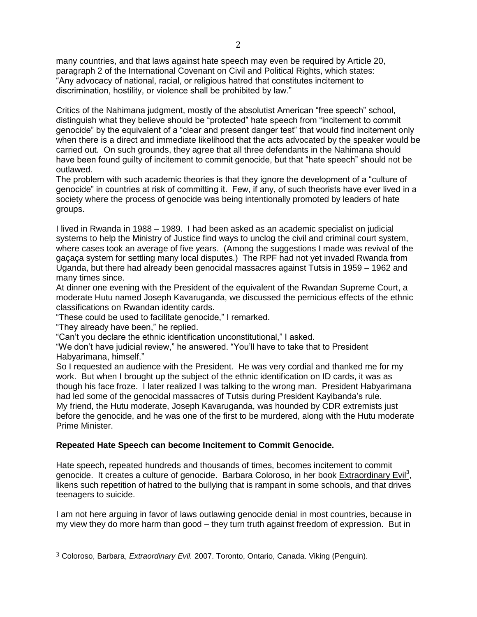many countries, and that laws against hate speech may even be required by Article 20, paragraph 2 of the International Covenant on Civil and Political Rights, which states: "Any advocacy of national, racial, or religious hatred that constitutes incitement to discrimination, hostility, or violence shall be prohibited by law."

Critics of the Nahimana judgment, mostly of the absolutist American "free speech" school, distinguish what they believe should be "protected" hate speech from "incitement to commit genocide" by the equivalent of a "clear and present danger test" that would find incitement only when there is a direct and immediate likelihood that the acts advocated by the speaker would be carried out. On such grounds, they agree that all three defendants in the Nahimana should have been found guilty of incitement to commit genocide, but that "hate speech" should not be outlawed.

The problem with such academic theories is that they ignore the development of a "culture of genocide" in countries at risk of committing it. Few, if any, of such theorists have ever lived in a society where the process of genocide was being intentionally promoted by leaders of hate groups.

I lived in Rwanda in 1988 – 1989. I had been asked as an academic specialist on judicial systems to help the Ministry of Justice find ways to unclog the civil and criminal court system, where cases took an average of five years. (Among the suggestions I made was revival of the gaçaça system for settling many local disputes.) The RPF had not yet invaded Rwanda from Uganda, but there had already been genocidal massacres against Tutsis in 1959 – 1962 and many times since.

At dinner one evening with the President of the equivalent of the Rwandan Supreme Court, a moderate Hutu named Joseph Kavaruganda, we discussed the pernicious effects of the ethnic classifications on Rwandan identity cards.

"These could be used to facilitate genocide," I remarked.

"They already have been," he replied.

l

"Can't you declare the ethnic identification unconstitutional," I asked.

"We don't have judicial review," he answered. "You'll have to take that to President Habyarimana, himself."

So I requested an audience with the President. He was very cordial and thanked me for my work. But when I brought up the subject of the ethnic identification on ID cards, it was as though his face froze. I later realized I was talking to the wrong man. President Habyarimana had led some of the genocidal massacres of Tutsis during President Kayibanda's rule. My friend, the Hutu moderate, Joseph Kavaruganda, was hounded by CDR extremists just before the genocide, and he was one of the first to be murdered, along with the Hutu moderate Prime Minister.

# **Repeated Hate Speech can become Incitement to Commit Genocide.**

Hate speech, repeated hundreds and thousands of times, becomes incitement to commit genocide. It creates a culture of genocide. Barbara Coloroso, in her book Extraordinary Evil<sup>3</sup>, likens such repetition of hatred to the bullying that is rampant in some schools, and that drives teenagers to suicide.

I am not here arguing in favor of laws outlawing genocide denial in most countries, because in my view they do more harm than good – they turn truth against freedom of expression. But in

<sup>3</sup> Coloroso, Barbara, *Extraordinary Evil.* 2007. Toronto, Ontario, Canada. Viking (Penguin).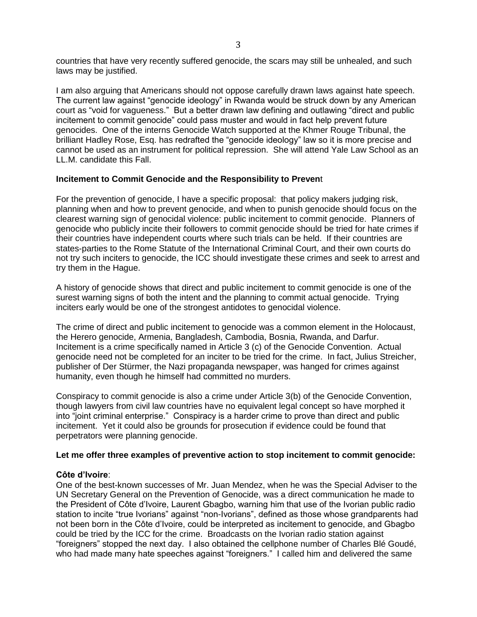countries that have very recently suffered genocide, the scars may still be unhealed, and such laws may be justified.

I am also arguing that Americans should not oppose carefully drawn laws against hate speech. The current law against "genocide ideology" in Rwanda would be struck down by any American court as "void for vagueness." But a better drawn law defining and outlawing "direct and public incitement to commit genocide" could pass muster and would in fact help prevent future genocides. One of the interns Genocide Watch supported at the Khmer Rouge Tribunal, the brilliant Hadley Rose, Esq. has redrafted the "genocide ideology" law so it is more precise and cannot be used as an instrument for political repression. She will attend Yale Law School as an LL.M. candidate this Fall.

### **Incitement to Commit Genocide and the Responsibility to Preven**t

For the prevention of genocide, I have a specific proposal: that policy makers judging risk, planning when and how to prevent genocide, and when to punish genocide should focus on the clearest warning sign of genocidal violence: public incitement to commit genocide. Planners of genocide who publicly incite their followers to commit genocide should be tried for hate crimes if their countries have independent courts where such trials can be held. If their countries are states-parties to the Rome Statute of the International Criminal Court, and their own courts do not try such inciters to genocide, the ICC should investigate these crimes and seek to arrest and try them in the Hague.

A history of genocide shows that direct and public incitement to commit genocide is one of the surest warning signs of both the intent and the planning to commit actual genocide. Trying inciters early would be one of the strongest antidotes to genocidal violence.

The crime of direct and public incitement to genocide was a common element in the Holocaust, the Herero genocide, Armenia, Bangladesh, Cambodia, Bosnia, Rwanda, and Darfur. Incitement is a crime specifically named in Article 3 (c) of the Genocide Convention. Actual genocide need not be completed for an inciter to be tried for the crime. In fact, Julius Streicher, publisher of Der Stürmer, the Nazi propaganda newspaper, was hanged for crimes against humanity, even though he himself had committed no murders.

Conspiracy to commit genocide is also a crime under Article 3(b) of the Genocide Convention, though lawyers from civil law countries have no equivalent legal concept so have morphed it into "joint criminal enterprise." Conspiracy is a harder crime to prove than direct and public incitement. Yet it could also be grounds for prosecution if evidence could be found that perpetrators were planning genocide.

# **Let me offer three examples of preventive action to stop incitement to commit genocide:**

# **Côte d'Ivoire**:

One of the best-known successes of Mr. Juan Mendez, when he was the Special Adviser to the UN Secretary General on the Prevention of Genocide, was a direct communication he made to the President of Côte d'Ivoire, Laurent Gbagbo, warning him that use of the Ivorian public radio station to incite "true Ivorians" against "non-Ivorians", defined as those whose grandparents had not been born in the Côte d'Ivoire, could be interpreted as incitement to genocide, and Gbagbo could be tried by the ICC for the crime. Broadcasts on the Ivorian radio station against "foreigners" stopped the next day. I also obtained the cellphone number of Charles Blé Goudé, who had made many hate speeches against "foreigners." I called him and delivered the same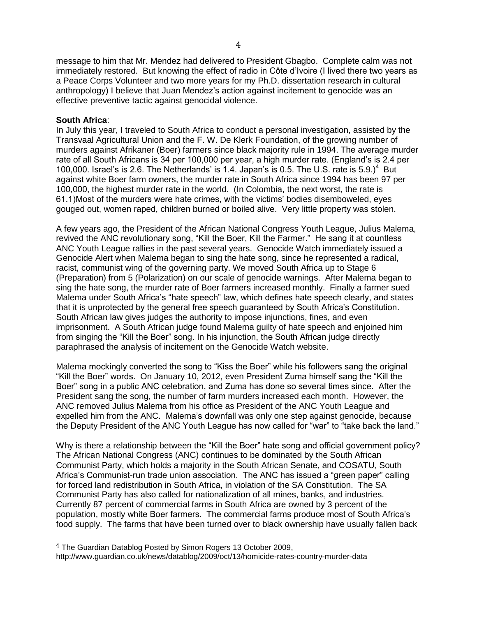message to him that Mr. Mendez had delivered to President Gbagbo. Complete calm was not immediately restored. But knowing the effect of radio in Côte d'Ivoire (I lived there two years as a Peace Corps Volunteer and two more years for my Ph.D. dissertation research in cultural anthropology) I believe that Juan Mendez's action against incitement to genocide was an effective preventive tactic against genocidal violence.

### **South Africa**:

 $\overline{\phantom{a}}$ 

In July this year, I traveled to South Africa to conduct a personal investigation, assisted by the Transvaal Agricultural Union and the F. W. De Klerk Foundation, of the growing number of murders against Afrikaner (Boer) farmers since black majority rule in 1994. The average murder rate of all South Africans is 34 per 100,000 per year, a high murder rate. (England's is 2.4 per 100,000. Israel's is 2.6. The Netherlands' is 1.4. Japan's is 0.5. The U.S. rate is  $5.9$ .)<sup>4</sup> But against white Boer farm owners, the murder rate in South Africa since 1994 has been 97 per 100,000, the highest murder rate in the world. (In Colombia, the next worst, the rate is 61.1)Most of the murders were hate crimes, with the victims' bodies disemboweled, eyes gouged out, women raped, children burned or boiled alive. Very little property was stolen.

A few years ago, the President of the African National Congress Youth League, Julius Malema, revived the ANC revolutionary song, "Kill the Boer, Kill the Farmer." He sang it at countless ANC Youth League rallies in the past several years. Genocide Watch immediately issued a Genocide Alert when Malema began to sing the hate song, since he represented a radical, racist, communist wing of the governing party. We moved South Africa up to Stage 6 (Preparation) from 5 (Polarization) on our scale of genocide warnings. After Malema began to sing the hate song, the murder rate of Boer farmers increased monthly. Finally a farmer sued Malema under South Africa's "hate speech" law, which defines hate speech clearly, and states that it is unprotected by the general free speech guaranteed by South Africa's Constitution. South African law gives judges the authority to impose injunctions, fines, and even imprisonment. A South African judge found Malema guilty of hate speech and enjoined him from singing the "Kill the Boer" song. In his injunction, the South African judge directly paraphrased the analysis of incitement on the Genocide Watch website.

Malema mockingly converted the song to "Kiss the Boer" while his followers sang the original "Kill the Boer" words. On January 10, 2012, even President Zuma himself sang the "Kill the Boer" song in a public ANC celebration, and Zuma has done so several times since. After the President sang the song, the number of farm murders increased each month. However, the ANC removed Julius Malema from his office as President of the ANC Youth League and expelled him from the ANC. Malema's downfall was only one step against genocide, because the Deputy President of the ANC Youth League has now called for "war" to "take back the land."

Why is there a relationship between the "Kill the Boer" hate song and official government policy? The African National Congress (ANC) continues to be dominated by the South African Communist Party, which holds a majority in the South African Senate, and COSATU, South Africa's Communist-run trade union association. The ANC has issued a "green paper" calling for forced land redistribution in South Africa, in violation of the SA Constitution. The SA Communist Party has also called for nationalization of all mines, banks, and industries. Currently 87 percent of commercial farms in South Africa are owned by 3 percent of the population, mostly white Boer farmers. The commercial farms produce most of South Africa's food supply. The farms that have been turned over to black ownership have usually fallen back

<sup>4</sup> The Guardian Datablog Posted by Simon Rogers 13 October 2009,

http://www.guardian.co.uk/news/datablog/2009/oct/13/homicide-rates-country-murder-data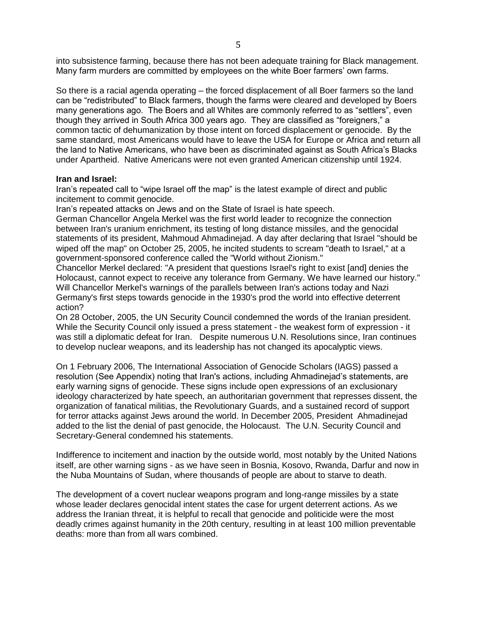into subsistence farming, because there has not been adequate training for Black management. Many farm murders are committed by employees on the white Boer farmers' own farms.

So there is a racial agenda operating – the forced displacement of all Boer farmers so the land can be "redistributed" to Black farmers, though the farms were cleared and developed by Boers many generations ago. The Boers and all Whites are commonly referred to as "settlers", even though they arrived in South Africa 300 years ago. They are classified as "foreigners," a common tactic of dehumanization by those intent on forced displacement or genocide. By the same standard, most Americans would have to leave the USA for Europe or Africa and return all the land to Native Americans, who have been as discriminated against as South Africa's Blacks under Apartheid. Native Americans were not even granted American citizenship until 1924.

### **Iran and Israel:**

Iran's repeated call to "wipe Israel off the map" is the latest example of direct and public incitement to commit genocide.

Iran's repeated attacks on Jews and on the State of Israel is hate speech.

German Chancellor Angela Merkel was the first world leader to recognize the connection between Iran's uranium enrichment, its testing of long distance missiles, and the genocidal statements of its president, Mahmoud Ahmadinejad. A day after declaring that Israel "should be wiped off the map" on October 25, 2005, he incited students to scream "death to Israel," at a government-sponsored conference called the "World without Zionism."

Chancellor Merkel declared: "A president that questions Israel's right to exist [and] denies the Holocaust, cannot expect to receive any tolerance from Germany. We have learned our history." Will Chancellor Merkel's warnings of the parallels between Iran's actions today and Nazi Germany's first steps towards genocide in the 1930's prod the world into effective deterrent action?

On 28 October, 2005, the UN Security Council condemned the words of the Iranian president. While the Security Council only issued a press statement - the weakest form of expression - it was still a diplomatic defeat for Iran. Despite numerous U.N. Resolutions since, Iran continues to develop nuclear weapons, and its leadership has not changed its apocalyptic views.

On 1 February 2006, The International Association of Genocide Scholars (IAGS) passed a resolution (See Appendix) noting that Iran's actions, including Ahmadinejad's statements, are early warning signs of genocide. These signs include open expressions of an exclusionary ideology characterized by hate speech, an authoritarian government that represses dissent, the organization of fanatical militias, the Revolutionary Guards, and a sustained record of support for terror attacks against Jews around the world. In December 2005, President Ahmadinejad added to the list the denial of past genocide, the Holocaust. The U.N. Security Council and Secretary-General condemned his statements.

Indifference to incitement and inaction by the outside world, most notably by the United Nations itself, are other warning signs - as we have seen in Bosnia, Kosovo, Rwanda, Darfur and now in the Nuba Mountains of Sudan, where thousands of people are about to starve to death.

The development of a covert nuclear weapons program and long-range missiles by a state whose leader declares genocidal intent states the case for urgent deterrent actions. As we address the Iranian threat, it is helpful to recall that genocide and politicide were the most deadly crimes against humanity in the 20th century, resulting in at least 100 million preventable deaths: more than from all wars combined.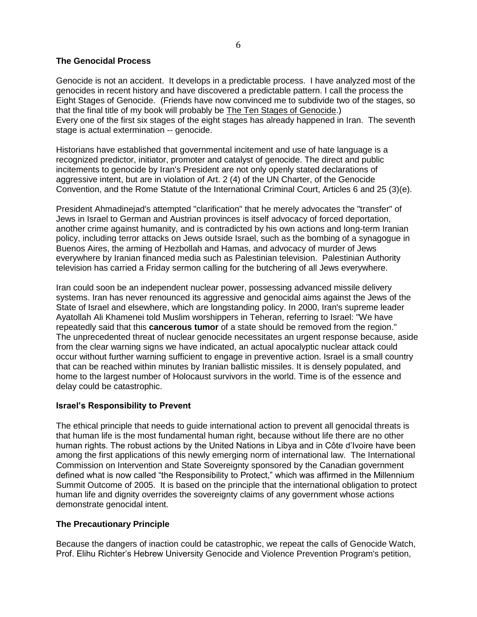### **The Genocidal Process**

Genocide is not an accident. It develops in a predictable process. I have analyzed most of the genocides in recent history and have discovered a predictable pattern. I call the process the Eight Stages of Genocide. (Friends have now convinced me to subdivide two of the stages, so that the final title of my book will probably be The Ten Stages of Genocide.) Every one of the first six stages of the eight stages has already happened in Iran. The seventh stage is actual extermination -- genocide.

Historians have established that governmental incitement and use of hate language is a recognized predictor, initiator, promoter and catalyst of genocide. The direct and public incitements to genocide by Iran's President are not only openly stated declarations of aggressive intent, but are in violation of Art. 2 (4) of the UN Charter, of the Genocide Convention, and the Rome Statute of the International Criminal Court, Articles 6 and 25 (3)(e).

President Ahmadinejad's attempted "clarification" that he merely advocates the "transfer" of Jews in Israel to German and Austrian provinces is itself advocacy of forced deportation, another crime against humanity, and is contradicted by his own actions and long-term Iranian policy, including terror attacks on Jews outside Israel, such as the bombing of a synagogue in Buenos Aires, the arming of Hezbollah and Hamas, and advocacy of murder of Jews everywhere by Iranian financed media such as Palestinian television. Palestinian Authority television has carried a Friday sermon calling for the butchering of all Jews everywhere.

Iran could soon be an independent nuclear power, possessing advanced missile delivery systems. Iran has never renounced its aggressive and genocidal aims against the Jews of the State of Israel and elsewhere, which are longstanding policy. In 2000, Iran's supreme leader Ayatollah Ali Khamenei told Muslim worshippers in Teheran, referring to Israel: "We have repeatedly said that this **cancerous tumor** of a state should be removed from the region." The unprecedented threat of nuclear genocide necessitates an urgent response because, aside from the clear warning signs we have indicated, an actual apocalyptic nuclear attack could occur without further warning sufficient to engage in preventive action. Israel is a small country that can be reached within minutes by Iranian ballistic missiles. It is densely populated, and home to the largest number of Holocaust survivors in the world. Time is of the essence and delay could be catastrophic.

### **Israel's Responsibility to Prevent**

The ethical principle that needs to guide international action to prevent all genocidal threats is that human life is the most fundamental human right, because without life there are no other human rights. The robust actions by the United Nations in Libya and in Côte d'Ivoire have been among the first applications of this newly emerging norm of international law. The International Commission on Intervention and State Sovereignty sponsored by the Canadian government defined what is now called "the Responsibility to Protect," which was affirmed in the Millennium Summit Outcome of 2005. It is based on the principle that the international obligation to protect human life and dignity overrides the sovereignty claims of any government whose actions demonstrate genocidal intent.

# **The Precautionary Principle**

Because the dangers of inaction could be catastrophic, we repeat the calls of Genocide Watch, Prof. Elihu Richter's Hebrew University Genocide and Violence Prevention Program's petition,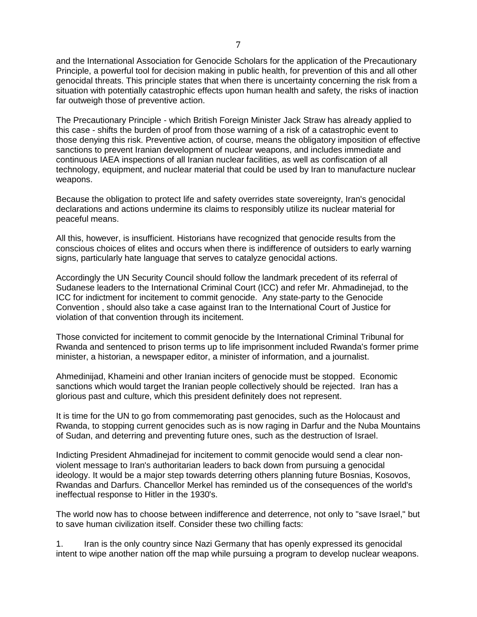and the International Association for Genocide Scholars for the application of the Precautionary Principle, a powerful tool for decision making in public health, for prevention of this and all other genocidal threats. This principle states that when there is uncertainty concerning the risk from a situation with potentially catastrophic effects upon human health and safety, the risks of inaction far outweigh those of preventive action.

The Precautionary Principle - which British Foreign Minister Jack Straw has already applied to this case - shifts the burden of proof from those warning of a risk of a catastrophic event to those denying this risk. Preventive action, of course, means the obligatory imposition of effective sanctions to prevent Iranian development of nuclear weapons, and includes immediate and continuous IAEA inspections of all Iranian nuclear facilities, as well as confiscation of all technology, equipment, and nuclear material that could be used by Iran to manufacture nuclear weapons.

Because the obligation to protect life and safety overrides state sovereignty, Iran's genocidal declarations and actions undermine its claims to responsibly utilize its nuclear material for peaceful means.

All this, however, is insufficient. Historians have recognized that genocide results from the conscious choices of elites and occurs when there is indifference of outsiders to early warning signs, particularly hate language that serves to catalyze genocidal actions.

Accordingly the UN Security Council should follow the landmark precedent of its referral of Sudanese leaders to the International Criminal Court (ICC) and refer Mr. Ahmadinejad, to the ICC for indictment for incitement to commit genocide. Any state-party to the Genocide Convention , should also take a case against Iran to the International Court of Justice for violation of that convention through its incitement.

Those convicted for incitement to commit genocide by the International Criminal Tribunal for Rwanda and sentenced to prison terms up to life imprisonment included Rwanda's former prime minister, a historian, a newspaper editor, a minister of information, and a journalist.

Ahmedinijad, Khameini and other Iranian inciters of genocide must be stopped. Economic sanctions which would target the Iranian people collectively should be rejected. Iran has a glorious past and culture, which this president definitely does not represent.

It is time for the UN to go from commemorating past genocides, such as the Holocaust and Rwanda, to stopping current genocides such as is now raging in Darfur and the Nuba Mountains of Sudan, and deterring and preventing future ones, such as the destruction of Israel.

Indicting President Ahmadinejad for incitement to commit genocide would send a clear nonviolent message to Iran's authoritarian leaders to back down from pursuing a genocidal ideology. It would be a major step towards deterring others planning future Bosnias, Kosovos, Rwandas and Darfurs. Chancellor Merkel has reminded us of the consequences of the world's ineffectual response to Hitler in the 1930's.

The world now has to choose between indifference and deterrence, not only to "save Israel," but to save human civilization itself. Consider these two chilling facts:

1. Iran is the only country since Nazi Germany that has openly expressed its genocidal intent to wipe another nation off the map while pursuing a program to develop nuclear weapons.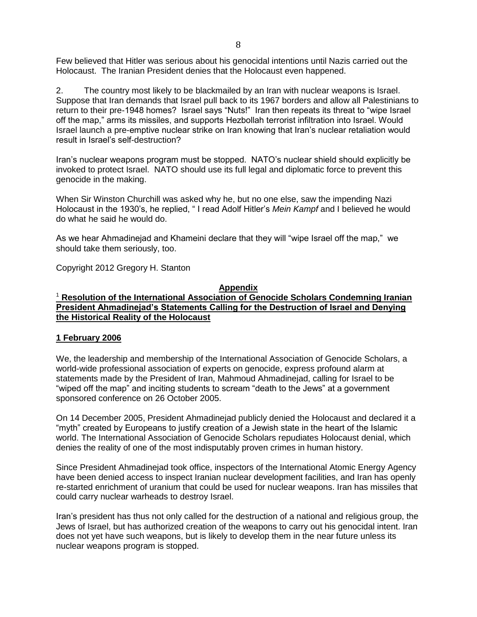Few believed that Hitler was serious about his genocidal intentions until Nazis carried out the Holocaust. The Iranian President denies that the Holocaust even happened.

2. The country most likely to be blackmailed by an Iran with nuclear weapons is Israel. Suppose that Iran demands that Israel pull back to its 1967 borders and allow all Palestinians to return to their pre-1948 homes? Israel says "Nuts!" Iran then repeats its threat to "wipe Israel off the map," arms its missiles, and supports Hezbollah terrorist infiltration into Israel. Would Israel launch a pre-emptive nuclear strike on Iran knowing that Iran's nuclear retaliation would result in Israel's self-destruction?

Iran's nuclear weapons program must be stopped. NATO's nuclear shield should explicitly be invoked to protect Israel. NATO should use its full legal and diplomatic force to prevent this genocide in the making.

When Sir Winston Churchill was asked why he, but no one else, saw the impending Nazi Holocaust in the 1930's, he replied, " I read Adolf Hitler's *Mein Kampf* and I believed he would do what he said he would do.

As we hear Ahmadinejad and Khameini declare that they will "wipe Israel off the map," we should take them seriously, too.

Copyright 2012 Gregory H. Stanton

### **Appendix**

# <sup>1</sup> **Resolution of the International Association of Genocide Scholars Condemning Iranian President Ahmadinejad's Statements Calling for the Destruction of Israel and Denying the Historical Reality of the Holocaust**

### **1 February 2006**

We, the leadership and membership of the International Association of Genocide Scholars, a world-wide professional association of experts on genocide, express profound alarm at statements made by the President of Iran, Mahmoud Ahmadinejad, calling for Israel to be "wiped off the map" and inciting students to scream "death to the Jews" at a government sponsored conference on 26 October 2005.

On 14 December 2005, President Ahmadinejad publicly denied the Holocaust and declared it a "myth" created by Europeans to justify creation of a Jewish state in the heart of the Islamic world. The International Association of Genocide Scholars repudiates Holocaust denial, which denies the reality of one of the most indisputably proven crimes in human history.

Since President Ahmadinejad took office, inspectors of the International Atomic Energy Agency have been denied access to inspect Iranian nuclear development facilities, and Iran has openly re-started enrichment of uranium that could be used for nuclear weapons. Iran has missiles that could carry nuclear warheads to destroy Israel.

Iran's president has thus not only called for the destruction of a national and religious group, the Jews of Israel, but has authorized creation of the weapons to carry out his genocidal intent. Iran does not yet have such weapons, but is likely to develop them in the near future unless its nuclear weapons program is stopped.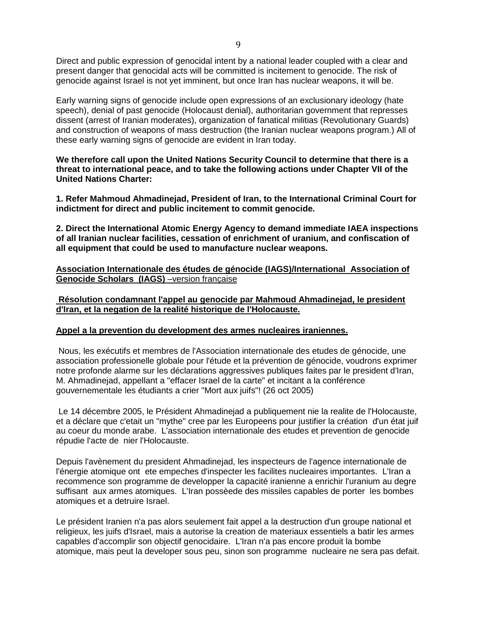Direct and public expression of genocidal intent by a national leader coupled with a clear and present danger that genocidal acts will be committed is incitement to genocide. The risk of genocide against Israel is not yet imminent, but once Iran has nuclear weapons, it will be.

Early warning signs of genocide include open expressions of an exclusionary ideology (hate speech), denial of past genocide (Holocaust denial), authoritarian government that represses dissent (arrest of Iranian moderates), organization of fanatical militias (Revolutionary Guards) and construction of weapons of mass destruction (the Iranian nuclear weapons program.) All of these early warning signs of genocide are evident in Iran today.

**We therefore call upon the United Nations Security Council to determine that there is a threat to international peace, and to take the following actions under Chapter VII of the United Nations Charter:**

**1. Refer Mahmoud Ahmadinejad, President of Iran, to the International Criminal Court for indictment for direct and public incitement to commit genocide.**

**2. Direct the International Atomic Energy Agency to demand immediate IAEA inspections of all Iranian nuclear facilities, cessation of enrichment of uranium, and confiscation of all equipment that could be used to manufacture nuclear weapons.**

**Association Internationale des études de génocide (IAGS)/International Association of Genocide Scholars (IAGS)** –version française

**Résolution condamnant l'appel au genocide par Mahmoud Ahmadinejad, le president d'Iran, et la negation de la realité historique de l'Holocauste.** 

### **Appel a la prevention du development des armes nucleaires iraniennes.**

Nous, les exécutifs et membres de l'Association internationale des etudes de génocide, une association professionelle globale pour l'étude et la prévention de génocide, voudrons exprimer notre profonde alarme sur les déclarations aggressives publiques faites par le president d'Iran, M. Ahmadinejad, appellant a "effacer Israel de la carte" et incitant a la conférence gouvernementale les étudiants a crier "Mort aux juifs"! (26 oct 2005)

Le 14 décembre 2005, le Président Ahmadinejad a publiquement nie la realite de l'Holocauste, et a déclare que c'etait un "mythe" cree par les Europeens pour justifier la création d'un état juif au coeur du monde arabe. L'association internationale des etudes et prevention de genocide répudie l'acte de nier l'Holocauste.

Depuis l'avènement du president Ahmadinejad, les inspecteurs de l'agence internationale de l'énergie atomique ont ete empeches d'inspecter les facilites nucleaires importantes. L'Iran a recommence son programme de developper la capacité iranienne a enrichir l'uranium au degre suffisant aux armes atomiques. L'Iran possèede des missiles capables de porter les bombes atomiques et a detruire Israel.

Le président Iranien n'a pas alors seulement fait appel a la destruction d'un groupe national et religieux, les juifs d'Israel, mais a autorise la creation de materiaux essentiels a batir les armes capables d'accomplir son objectif genocidaire. L'Iran n'a pas encore produit la bombe atomique, mais peut la developer sous peu, sinon son programme nucleaire ne sera pas defait.